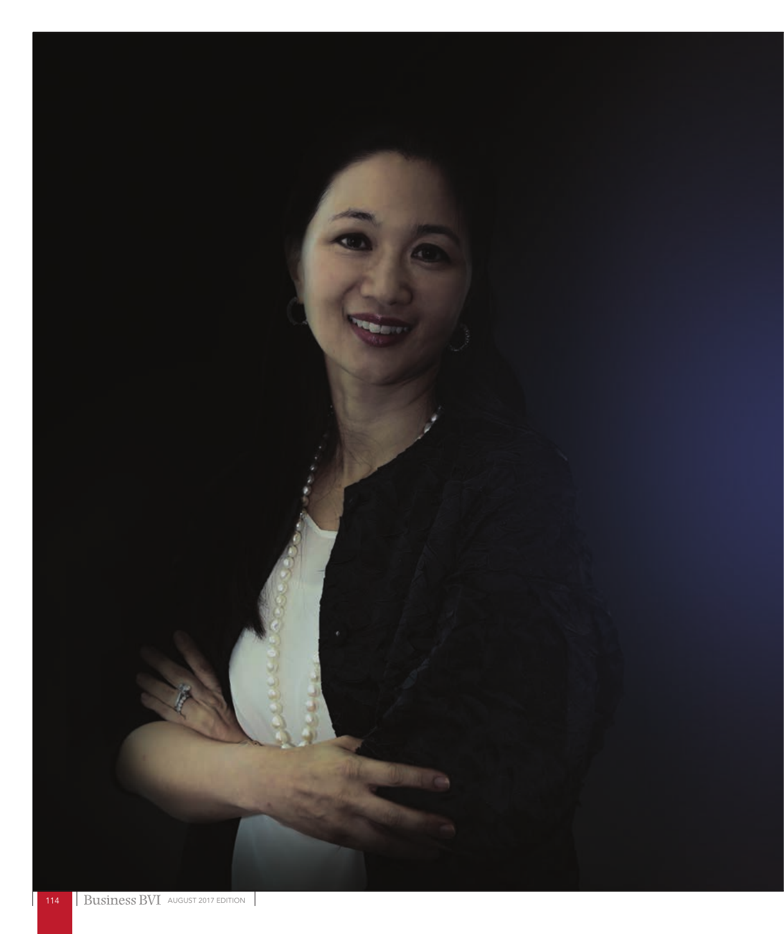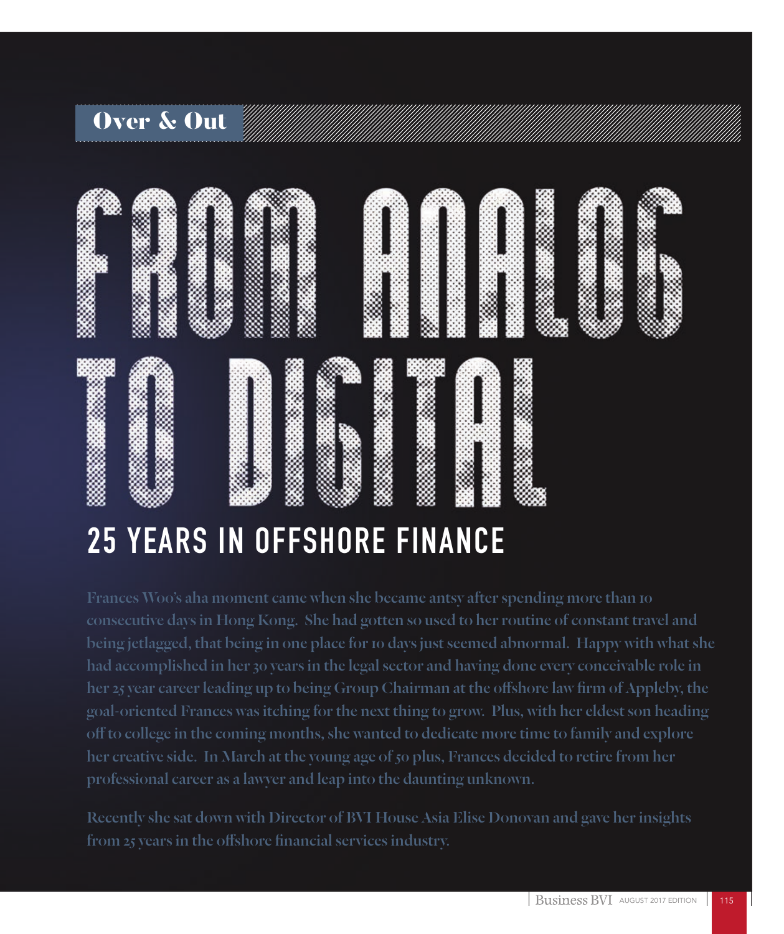# Over & Out



# **25 YEARS IN OFFSHORE FINANCE**

Frances Woo's aha moment came when she became antsy after spending more than 10 consecutive days in Hong Kong. She had gotten so used to her routine of constant travel and being jetlagged, that being in one place for 10 days just seemed abnormal. Happy with what she had accomplished in her 30 years in the legal sector and having done every conceivable role in her 25 year career leading up to being Group Chairman at the offshore law firm of Appleby, the goal-oriented Frances was itching for the next thing to grow. Plus, with her eldest son heading off to college in the coming months, she wanted to dedicate more time to family and explore her creative side. In March at the young age of 50 plus, Frances decided to retire from her professional career as a lawyer and leap into the daunting unknown.

Recently she sat down with Director of BVI House Asia Elise Donovan and gave her insights from 25 years in the offshore financial services industry.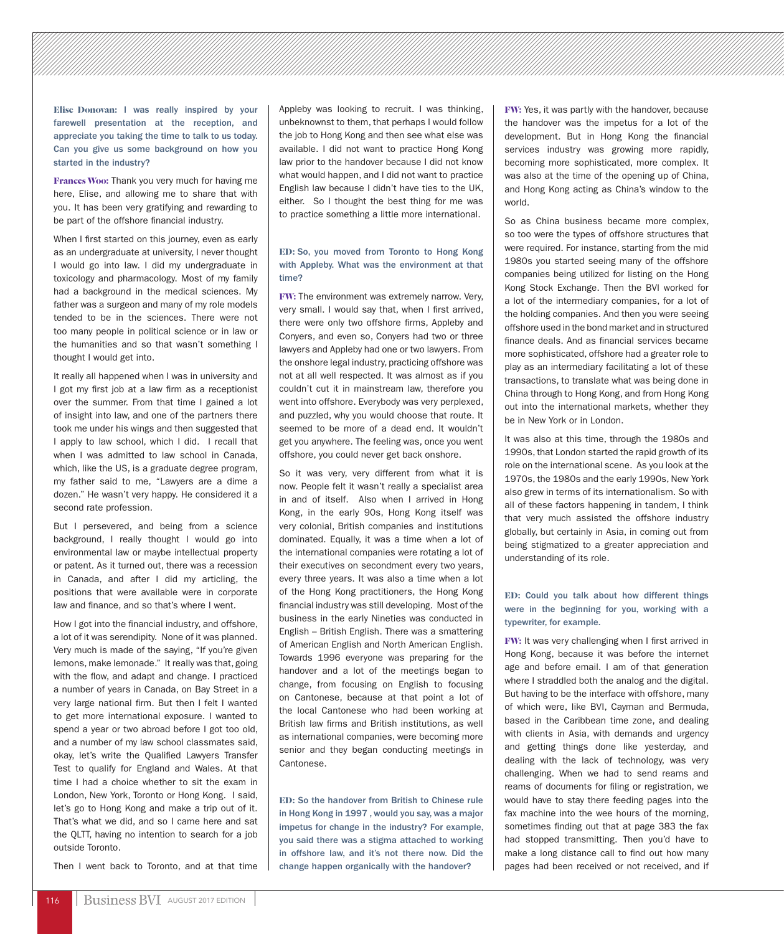**Elise Donovan:** I was really inspired by your farewell presentation at the reception, and appreciate you taking the time to talk to us today. Can you give us some background on how you started in the industry?

**Frances Woo:** Thank you very much for having me here, Elise, and allowing me to share that with you. It has been very gratifying and rewarding to be part of the offshore financial industry.

When I first started on this journey, even as early as an undergraduate at university, I never thought I would go into law. I did my undergraduate in toxicology and pharmacology. Most of my family had a background in the medical sciences. My father was a surgeon and many of my role models tended to be in the sciences. There were not too many people in political science or in law or the humanities and so that wasn't something I thought I would get into.

It really all happened when I was in university and I got my first job at a law firm as a receptionist over the summer. From that time I gained a lot of insight into law, and one of the partners there took me under his wings and then suggested that I apply to law school, which I did. I recall that when I was admitted to law school in Canada, which, like the US, is a graduate degree program, my father said to me, "Lawyers are a dime a dozen." He wasn't very happy. He considered it a second rate profession.

But I persevered, and being from a science background, I really thought I would go into environmental law or maybe intellectual property or patent. As it turned out, there was a recession in Canada, and after I did my articling, the positions that were available were in corporate law and finance, and so that's where I went.

How I got into the financial industry, and offshore, a lot of it was serendipity. None of it was planned. Very much is made of the saying, "If you're given lemons, make lemonade." It really was that, going with the flow, and adapt and change. I practiced a number of years in Canada, on Bay Street in a very large national firm. But then I felt I wanted to get more international exposure. I wanted to spend a year or two abroad before I got too old, and a number of my law school classmates said, okay, let's write the Qualified Lawyers Transfer Test to qualify for England and Wales. At that time I had a choice whether to sit the exam in London, New York, Toronto or Hong Kong. I said, let's go to Hong Kong and make a trip out of it. That's what we did, and so I came here and sat the QLTT, having no intention to search for a job outside Toronto.

Then I went back to Toronto, and at that time

Appleby was looking to recruit. I was thinking, unbeknownst to them, that perhaps I would follow the job to Hong Kong and then see what else was available. I did not want to practice Hong Kong law prior to the handover because I did not know what would happen, and I did not want to practice English law because I didn't have ties to the UK, either. So I thought the best thing for me was to practice something a little more international.

# **ED:** So, you moved from Toronto to Hong Kong with Appleby. What was the environment at that time?

**FW:** The environment was extremely narrow. Very, very small. I would say that, when I first arrived, there were only two offshore firms, Appleby and Conyers, and even so, Conyers had two or three lawyers and Appleby had one or two lawyers. From the onshore legal industry, practicing offshore was not at all well respected. It was almost as if you couldn't cut it in mainstream law, therefore you went into offshore. Everybody was very perplexed, and puzzled, why you would choose that route. It seemed to be more of a dead end. It wouldn't get you anywhere. The feeling was, once you went offshore, you could never get back onshore.

So it was very, very different from what it is now. People felt it wasn't really a specialist area in and of itself. Also when I arrived in Hong Kong, in the early 90s, Hong Kong itself was very colonial, British companies and institutions dominated. Equally, it was a time when a lot of the international companies were rotating a lot of their executives on secondment every two years, every three years. It was also a time when a lot of the Hong Kong practitioners, the Hong Kong financial industry was still developing. Most of the business in the early Nineties was conducted in English – British English. There was a smattering of American English and North American English. Towards 1996 everyone was preparing for the handover and a lot of the meetings began to change, from focusing on English to focusing on Cantonese, because at that point a lot of the local Cantonese who had been working at British law firms and British institutions, as well as international companies, were becoming more senior and they began conducting meetings in Cantonese.

**ED:** So the handover from British to Chinese rule in Hong Kong in 1997 , would you say, was a major impetus for change in the industry? For example, you said there was a stigma attached to working in offshore law, and it's not there now. Did the change happen organically with the handover?

**FW:** Yes, it was partly with the handover, because the handover was the impetus for a lot of the development. But in Hong Kong the financial services industry was growing more rapidly, becoming more sophisticated, more complex. It was also at the time of the opening up of China, and Hong Kong acting as China's window to the world.

So as China business became more complex, so too were the types of offshore structures that were required. For instance, starting from the mid 1980s you started seeing many of the offshore companies being utilized for listing on the Hong Kong Stock Exchange. Then the BVI worked for a lot of the intermediary companies, for a lot of the holding companies. And then you were seeing offshore used in the bond market and in structured finance deals. And as financial services became more sophisticated, offshore had a greater role to play as an intermediary facilitating a lot of these transactions, to translate what was being done in China through to Hong Kong, and from Hong Kong out into the international markets, whether they be in New York or in London.

It was also at this time, through the 1980s and 1990s, that London started the rapid growth of its role on the international scene. As you look at the 1970s, the 1980s and the early 1990s, New York also grew in terms of its internationalism. So with all of these factors happening in tandem, I think that very much assisted the offshore industry globally, but certainly in Asia, in coming out from being stigmatized to a greater appreciation and understanding of its role.

# **ED:** Could you talk about how different things were in the beginning for you, working with a typewriter, for example.

**FW:** It was very challenging when I first arrived in Hong Kong, because it was before the internet age and before email. I am of that generation where I straddled both the analog and the digital. But having to be the interface with offshore, many of which were, like BVI, Cayman and Bermuda, based in the Caribbean time zone, and dealing with clients in Asia, with demands and urgency and getting things done like yesterday, and dealing with the lack of technology, was very challenging. When we had to send reams and reams of documents for filing or registration, we would have to stay there feeding pages into the fax machine into the wee hours of the morning, sometimes finding out that at page 383 the fax had stopped transmitting. Then you'd have to make a long distance call to find out how many pages had been received or not received, and if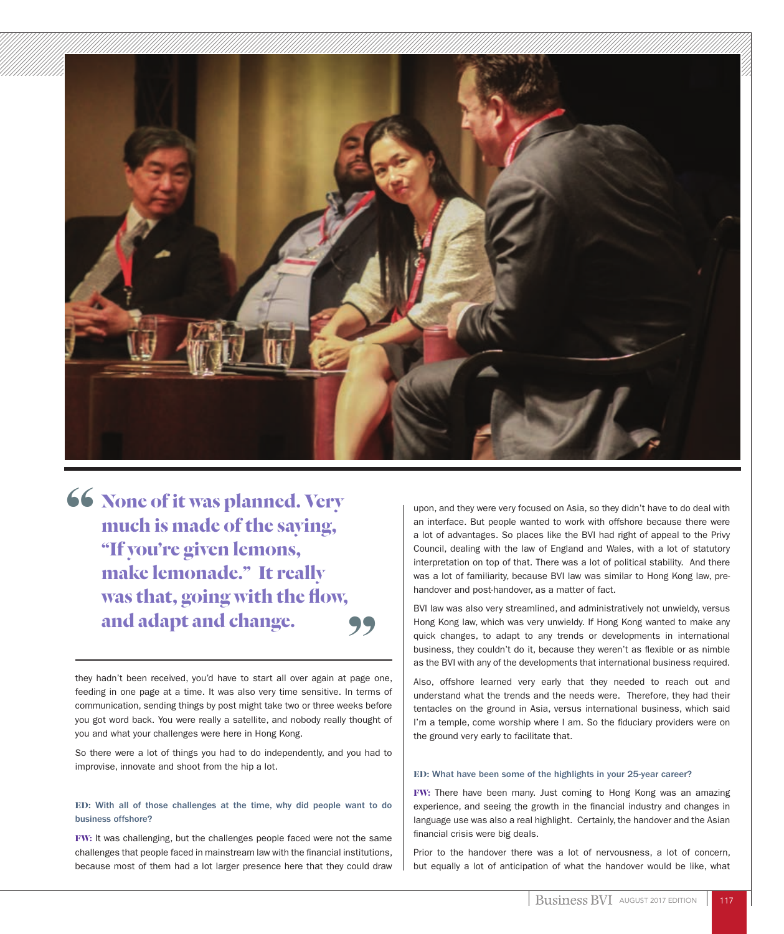

" <u>,</u> **None of it was planned. Very much is made of the saying, "If you're given lemons, make lemonade." It really was that, going with the flow, and adapt and change.**

they hadn't been received, you'd have to start all over again at page one, feeding in one page at a time. It was also very time sensitive. In terms of communication, sending things by post might take two or three weeks before you got word back. You were really a satellite, and nobody really thought of you and what your challenges were here in Hong Kong.

So there were a lot of things you had to do independently, and you had to improvise, innovate and shoot from the hip a lot.

### **ED:** With all of those challenges at the time, why did people want to do business offshore?

**FW:** It was challenging, but the challenges people faced were not the same challenges that people faced in mainstream law with the financial institutions, because most of them had a lot larger presence here that they could draw upon, and they were very focused on Asia, so they didn't have to do deal with an interface. But people wanted to work with offshore because there were a lot of advantages. So places like the BVI had right of appeal to the Privy Council, dealing with the law of England and Wales, with a lot of statutory interpretation on top of that. There was a lot of political stability. And there was a lot of familiarity, because BVI law was similar to Hong Kong law, prehandover and post-handover, as a matter of fact.

BVI law was also very streamlined, and administratively not unwieldy, versus Hong Kong law, which was very unwieldy. If Hong Kong wanted to make any quick changes, to adapt to any trends or developments in international business, they couldn't do it, because they weren't as flexible or as nimble as the BVI with any of the developments that international business required.

Also, offshore learned very early that they needed to reach out and understand what the trends and the needs were. Therefore, they had their tentacles on the ground in Asia, versus international business, which said I'm a temple, come worship where I am. So the fiduciary providers were on the ground very early to facilitate that.

#### **ED:** What have been some of the highlights in your 25-year career?

**FW:** There have been many. Just coming to Hong Kong was an amazing experience, and seeing the growth in the financial industry and changes in language use was also a real highlight. Certainly, the handover and the Asian financial crisis were big deals.

Prior to the handover there was a lot of nervousness, a lot of concern, but equally a lot of anticipation of what the handover would be like, what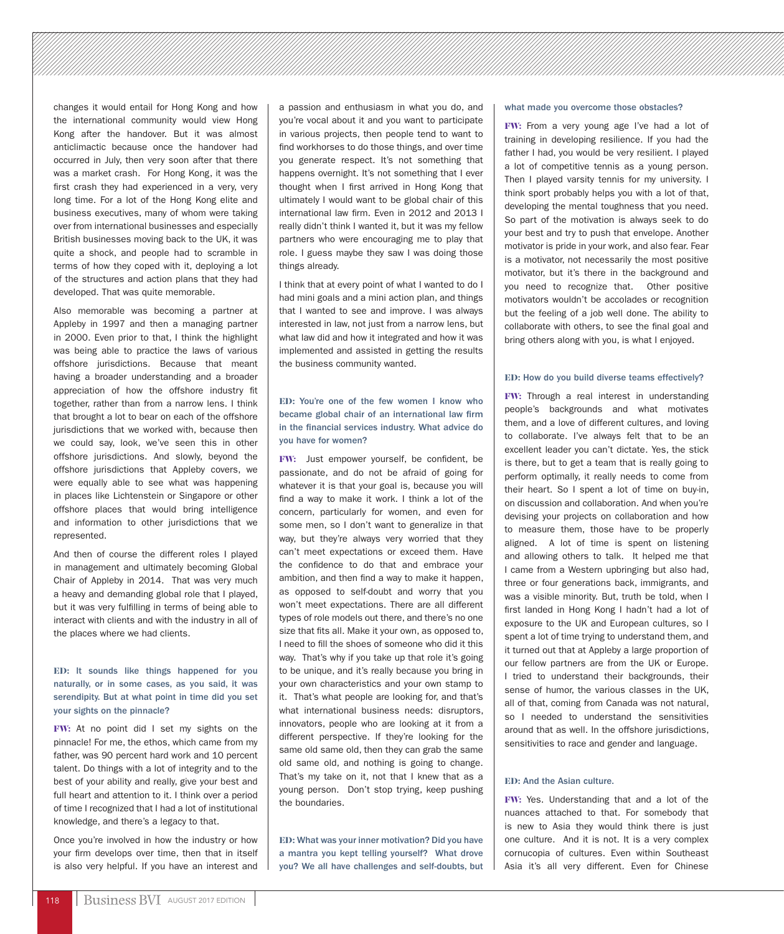changes it would entail for Hong Kong and how the international community would view Hong Kong after the handover. But it was almost anticlimactic because once the handover had occurred in July, then very soon after that there was a market crash. For Hong Kong, it was the first crash they had experienced in a very, very long time. For a lot of the Hong Kong elite and business executives, many of whom were taking over from international businesses and especially British businesses moving back to the UK, it was quite a shock, and people had to scramble in terms of how they coped with it, deploying a lot of the structures and action plans that they had developed. That was quite memorable.

Also memorable was becoming a partner at Appleby in 1997 and then a managing partner in 2000. Even prior to that, I think the highlight was being able to practice the laws of various offshore jurisdictions. Because that meant having a broader understanding and a broader appreciation of how the offshore industry fit together, rather than from a narrow lens. I think that brought a lot to bear on each of the offshore jurisdictions that we worked with, because then we could say, look, we've seen this in other offshore jurisdictions. And slowly, beyond the offshore jurisdictions that Appleby covers, we were equally able to see what was happening in places like Lichtenstein or Singapore or other offshore places that would bring intelligence and information to other jurisdictions that we represented.

And then of course the different roles I played in management and ultimately becoming Global Chair of Appleby in 2014. That was very much a heavy and demanding global role that I played, but it was very fulfilling in terms of being able to interact with clients and with the industry in all of the places where we had clients.

**ED:** It sounds like things happened for you naturally, or in some cases, as you said, it was serendipity. But at what point in time did you set your sights on the pinnacle?

**FW:** At no point did I set my sights on the pinnacle! For me, the ethos, which came from my father, was 90 percent hard work and 10 percent talent. Do things with a lot of integrity and to the best of your ability and really, give your best and full heart and attention to it. I think over a period of time I recognized that I had a lot of institutional knowledge, and there's a legacy to that.

Once you're involved in how the industry or how your firm develops over time, then that in itself is also very helpful. If you have an interest and a passion and enthusiasm in what you do, and you're vocal about it and you want to participate in various projects, then people tend to want to find workhorses to do those things, and over time you generate respect. It's not something that happens overnight. It's not something that I ever thought when I first arrived in Hong Kong that ultimately I would want to be global chair of this international law firm. Even in 2012 and 2013 I really didn't think I wanted it, but it was my fellow partners who were encouraging me to play that role. I guess maybe they saw I was doing those things already.

I think that at every point of what I wanted to do I had mini goals and a mini action plan, and things that I wanted to see and improve. I was always interested in law, not just from a narrow lens, but what law did and how it integrated and how it was implemented and assisted in getting the results the business community wanted.

# **ED:** You're one of the few women I know who became global chair of an international law firm in the financial services industry. What advice do you have for women?

**FW:** Just empower yourself, be confident, be passionate, and do not be afraid of going for whatever it is that your goal is, because you will find a way to make it work. I think a lot of the concern, particularly for women, and even for some men, so I don't want to generalize in that way, but they're always very worried that they can't meet expectations or exceed them. Have the confidence to do that and embrace your ambition, and then find a way to make it happen, as opposed to self-doubt and worry that you won't meet expectations. There are all different types of role models out there, and there's no one size that fits all. Make it your own, as opposed to, I need to fill the shoes of someone who did it this way. That's why if you take up that role it's going to be unique, and it's really because you bring in your own characteristics and your own stamp to it. That's what people are looking for, and that's what international business needs: disruptors, innovators, people who are looking at it from a different perspective. If they're looking for the same old same old, then they can grab the same old same old, and nothing is going to change. That's my take on it, not that I knew that as a young person. Don't stop trying, keep pushing the boundaries.

**ED:** What was your inner motivation? Did you have a mantra you kept telling yourself? What drove you? We all have challenges and self-doubts, but

#### what made you overcome those obstacles?

**FW:** From a very young age I've had a lot of training in developing resilience. If you had the father I had, you would be very resilient. I played a lot of competitive tennis as a young person. Then I played varsity tennis for my university. I think sport probably helps you with a lot of that, developing the mental toughness that you need. So part of the motivation is always seek to do your best and try to push that envelope. Another motivator is pride in your work, and also fear. Fear is a motivator, not necessarily the most positive motivator, but it's there in the background and you need to recognize that. Other positive motivators wouldn't be accolades or recognition but the feeling of a job well done. The ability to collaborate with others, to see the final goal and bring others along with you, is what I enjoyed.

#### **ED:** How do you build diverse teams effectively?

**FW:** Through a real interest in understanding people's backgrounds and what motivates them, and a love of different cultures, and loving to collaborate. I've always felt that to be an excellent leader you can't dictate. Yes, the stick is there, but to get a team that is really going to perform optimally, it really needs to come from their heart. So I spent a lot of time on buy-in, on discussion and collaboration. And when you're devising your projects on collaboration and how to measure them, those have to be properly aligned. A lot of time is spent on listening and allowing others to talk. It helped me that I came from a Western upbringing but also had, three or four generations back, immigrants, and was a visible minority. But, truth be told, when I first landed in Hong Kong I hadn't had a lot of exposure to the UK and European cultures, so I spent a lot of time trying to understand them, and it turned out that at Appleby a large proportion of our fellow partners are from the UK or Europe. I tried to understand their backgrounds, their sense of humor, the various classes in the UK, all of that, coming from Canada was not natural, so I needed to understand the sensitivities around that as well. In the offshore jurisdictions, sensitivities to race and gender and language.

#### **ED:** And the Asian culture.

**FW:** Yes. Understanding that and a lot of the nuances attached to that. For somebody that is new to Asia they would think there is just one culture. And it is not. It is a very complex cornucopia of cultures. Even within Southeast Asia it's all very different. Even for Chinese